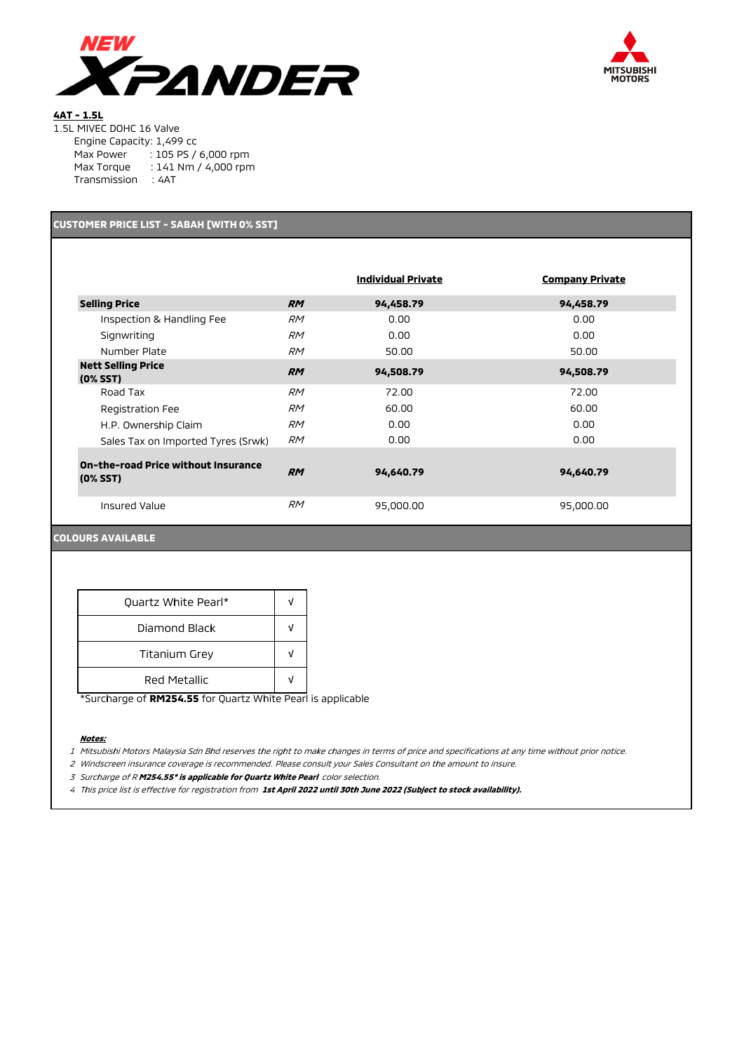



# **4AT - 1.5L**

|  | 1.5L MIVEC DOHC 16 Valve |  |  |
|--|--------------------------|--|--|
|  |                          |  |  |

|              | Engine Capacity: 1,499 cc |  |
|--------------|---------------------------|--|
| Max Power    | : 105 PS / 6,000 rpm      |  |
| Max Torque   | : 141 Nm / 4,000 rpm      |  |
| Transmission | ∶ 4AT                     |  |

# **CUSTOMER PRICE LIST - SABAH [WITH 0% SST]**

|                                                      |           | <b>Individual Private</b> | <b>Company Private</b> |
|------------------------------------------------------|-----------|---------------------------|------------------------|
| <b>Selling Price</b>                                 | <b>RM</b> | 94,458.79                 | 94,458.79              |
| Inspection & Handling Fee                            | <b>RM</b> | 0.00                      | 0.00                   |
| Signwriting                                          | <b>RM</b> | 0.00                      | 0.00                   |
| Number Plate                                         | <b>RM</b> | 50.00                     | 50.00                  |
| <b>Nett Selling Price</b><br>$(0%$ SST $)$           | <b>RM</b> | 94,508.79                 | 94,508.79              |
| Road Tax                                             | <b>RM</b> | 72.00                     | 72.00                  |
| Registration Fee                                     | <i>RM</i> | 60.00                     | 60.00                  |
| H.P. Ownership Claim                                 | <b>RM</b> | 0.00                      | 0.00                   |
| Sales Tax on Imported Tyres (Srwk)                   | <b>RM</b> | 0.00                      | 0.00                   |
| On-the-road Price without Insurance<br>$(0%$ SST $)$ | <b>RM</b> | 94,640.79                 | 94,640.79              |
| Insured Value                                        | <b>RM</b> | 95,000.00                 | 95,000.00              |

## **COLOURS AVAILABLE**

| Quartz White Pearl*  |  |  |
|----------------------|--|--|
| Diamond Black        |  |  |
| <b>Titanium Grey</b> |  |  |
| Red Metallic         |  |  |

\*Surcharge of **RM254.55** for Quartz White Pearl is applicable

#### **Notes:**

1 Mitsubishi Motors Malaysia Sdn Bhd reserves the right to make changes in terms of price and specifications at any time without prior notice.

2 Windscreen insurance coverage is recommended. Please consult your Sales Consultant on the amount to insure.

<sup>3</sup> Surcharge of R **M254.55\* is applicable for Quartz White Pearl** color selection.

4 This price list is effective for registration from **1st April 2022 until 30th June 2022 (Subject to stock availability).**